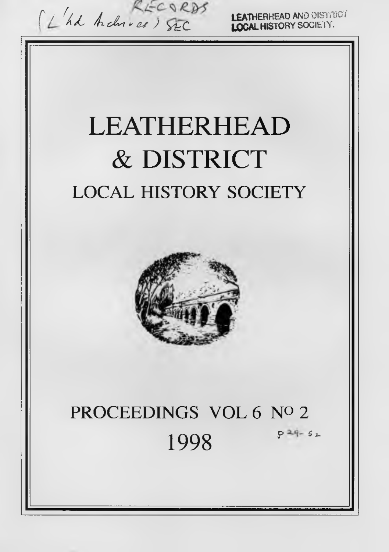C *L hd <i>hchives* ) SEC **LEATHERHEAD AND DISTRICT** LEATHERHEAD & DISTRICT **LOCAL HISTORY SOCIETY**

# **PROCEEDINGS VOL 6 Nº 2** 1998  $P^{2q-s_1}$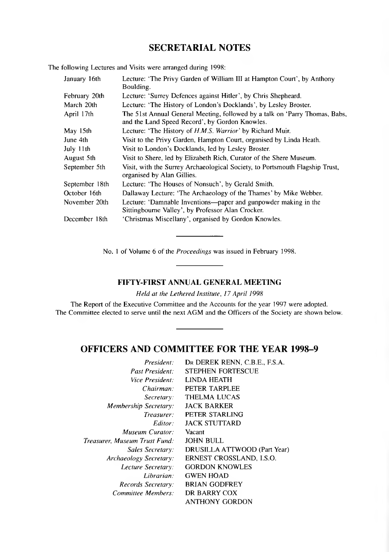## **SECRETARIAL NOTES**

The following Lectures and Visits were arranged during 1998:

| January 16th   | Lecture: 'The Privy Garden of William III at Hampton Court', by Anthony<br>Boulding.                                          |
|----------------|-------------------------------------------------------------------------------------------------------------------------------|
| February 20th  | Lecture: 'Surrey Defences against Hitler', by Chris Shepheard.                                                                |
| March 20th     | Lecture: 'The History of London's Docklands', by Lesley Broster.                                                              |
| April 17th     | The 51st Annual General Meeting, followed by a talk on 'Parry Thomas, Babs,<br>and the Land Speed Record', by Gordon Knowles. |
| May 15th       | Lecture: 'The History of <i>H.M.S. Warrior'</i> by Richard Muir.                                                              |
| June 4th       | Visit to the Privy Garden, Hampton Court, organised by Linda Heath.                                                           |
| July 11th      | Visit to London's Docklands, led by Lesley Broster.                                                                           |
| August 5th     | Visit to Shere, led by Elizabeth Rich, Curator of the Shere Museum.                                                           |
| September 5th  | Visit, with the Surrey Archaeological Society, to Portsmouth Flagship Trust,<br>organised by Alan Gillies.                    |
| September 18th | Lecture: 'The Houses of Nonsuch', by Gerald Smith.                                                                            |
| October 16th   | Dallaway Lecture: 'The Archaeology of the Thames' by Mike Webber.                                                             |
| November 20th  | Lecture: 'Damnable Inventions—paper and gunpowder making in the<br>Sittingbourne Valley', by Professor Alan Crocker.          |
| December 18th  | 'Christmas Miscellany', organised by Gordon Knowles.                                                                          |

No. 1 of Volume 6 of the *Proceedings* was issued in February 1998.

## **FIFTY-FIRST ANNUAL GENERAL MEETING**

*Held at the Lethered Institute, 17 April 1998*

The Report of the Executive Committee and the Accounts for the year 1997 were adopted. The Committee elected to serve until the next AGM and the Officers of the Society are shown below.

## **OFFICERS AND COMMITTEE FOR THE YEAR 1998-9**

| DR DEREK RENN, C.B.E., F.S.A. |
|-------------------------------|
| <b>STEPHEN FORTESCUE</b>      |
| LINDA HEATH                   |
| PETER TARPLEE                 |
| <b>THELMA LUCAS</b>           |
| <b>JACK BARKER</b>            |
| PETER STARLING                |
| <b>JACK STUTTARD</b>          |
| Vacant                        |
| <b>JOHN BULL</b>              |
| DRUSILLA ATTWOOD (Part Year)  |
| ERNEST CROSSLAND, I.S.O.      |
| <b>GORDON KNOWLES</b>         |
| <b>GWEN HOAD</b>              |
| <b>BRIAN GODFREY</b>          |
| DR BARRY COX                  |
| ANTHONY GORDON                |
|                               |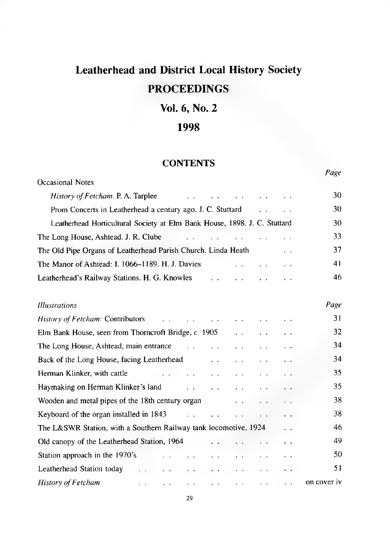# **Leatherhead and District Local History Society PROCEEDINGS**

## **Vol. 6, No. 2**

## **1998**

## **CONTENTS**

*Page*

| Occasional Notes                                                                                                                                           |             |  |
|------------------------------------------------------------------------------------------------------------------------------------------------------------|-------------|--|
| History of Fetcham. P. A. Tarplee                                                                                                                          | 30          |  |
| Prom Concerts in Leatherhead a century ago. J. C. Stuttard                                                                                                 | 30          |  |
| Leatherhead Horticultural Society at Elm Bank House, 1898. J. C. Stuttard                                                                                  | 30          |  |
| The Long House, Ashtead. J. R. Clube                                                                                                                       | 33          |  |
| The Old Pipe Organs of Leatherhead Parish Church. Linda Heath                                                                                              | 37          |  |
| The Manor of Ashtead: I. 1066–1189. H. J. Davies<br>$\ddotsc$                                                                                              | 41          |  |
| Leatherhead's Railway Stations. H. G. Knowles                                                                                                              | 46          |  |
| <b>Illustrations</b>                                                                                                                                       | Page        |  |
| History of Fetcham: Contributors<br>and the contract of the contract of                                                                                    | 31          |  |
| Elm Bank House, seen from Thorncroft Bridge, c. 1905                                                                                                       |             |  |
| The Long House, Ashtead, main entrance<br>$\ddot{\phantom{a}}$<br>$\ddotsc$<br>$\ddotsc$                                                                   | 34          |  |
| Back of the Long House, facing Leatherhead<br>$\ddotsc$<br>$\ddotsc$<br>$\ddot{\phantom{1}}$                                                               | 34          |  |
| Herman Klinker, with cattle<br>the control of the control of<br>$\sim$ $ \sim$ $ \sim$<br>$\ddot{\phantom{0}}$                                             | 35          |  |
| Haymaking on Herman Klinker's land<br>and the state of the state<br>$\ddot{\phantom{0}}$<br>$\ddot{\phantom{1}}$                                           | 35          |  |
| Wooden and metal pipes of the 18th century organ<br>. .<br>. .                                                                                             | 38          |  |
| Keyboard of the organ installed in 1843<br>and the state<br>$\sim$ $\sim$<br>$\ddot{\phantom{1}}$                                                          | 38          |  |
| The L&SWR Station, with a Southern Railway tank locomotive, 1924                                                                                           | 46          |  |
| Old canopy of the Leatherhead Station, 1964                                                                                                                | 49          |  |
| Station approach in the 1970's                                                                                                                             | 50          |  |
| Leatherhead Station today<br>$\sim$ $\sim$<br>$\mathbf{r}=\mathbf{r}$ .<br>$\ddotsc$<br>$\epsilon \rightarrow$<br>$\mathbf{r}=\mathbf{r}$<br>$\sim$<br>. . | 51          |  |
| History of Fetcham<br>$\sim$ $\sim$<br>$\ddotsc$<br>$\ddotsc$<br>$\mathbf{r} = \mathbf{r}$ .<br>$\ddotsc$                                                  | on cover iv |  |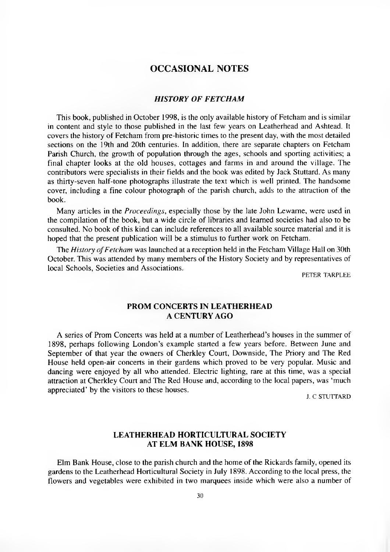## **OCCASIONAL NOTES**

#### **HISTORY OF FETCHAM**

This book, published in October 1998, is the only available history of Fetcham and is similar in content and style to those published in the last few years on Leatherhead and Ashtead. It covers the history of Fetcham from pre-historic times to the present day, with the most detailed sections on the 19th and 20th centuries. In addition, there are separate chapters on Fetcham Parish Church, the growth of population through the ages, schools and sporting activities; a final chapter looks at the old houses, cottages and farms in and around the village. The contributors were specialists in their fields and the book was edited by Jack Stuttard. As many as thirty-seven half-tone photographs illustrate the text which is well printed. The handsome cover, including a fine colour photograph of the parish church, adds to the attraction of the book.

Many articles in the *Proceedings,* especially those by the late John Lewame, were used in the compilation of the book, but a wide circle of libraries and learned societies had also to be consulted. No book of this kind can include references to all available source material and it is hoped that the present publication will be a stimulus to further work on Fetcham.

The *History of Fetcham* was launched at a reception held in the Fetcham Village Hall on 30th October. This was attended by many members of the History Society and by representatives of local Schools, Societies and Associations.

PETER TARPLEE.

#### **PROM CONCERTS IN LEATHERHEAD A CENTURY AGO**

A series of Prom Concerts was held at a number of Leatherhead's houses in the summer of 1898, perhaps following London's example started a few years before. Between June and September of that year the owners of Cherkley Court, Downside, The Priory and The Red House held open-air concerts in their gardens which proved to be very popular. Music and dancing were enjoyed by all who attended. Electric lighting, rare at this time, was a special attraction at Cherkley Court and The Red House and, according to the local papers, was 'much appreciated' by the visitors to these houses.

J. C STUTTARD

#### **LEATHERHEAD HORTICULTURAL SOCIETY AT ELM BANK HOUSE, 1898**

<span id="page-3-0"></span>Elm Bank House, close to the parish church and the home of the Rickards family, opened its gardens to the Leatherhead Horticultural Society in July 1898. According to the local press, the flowers and vegetables were exhibited in two marquees inside which were also a number of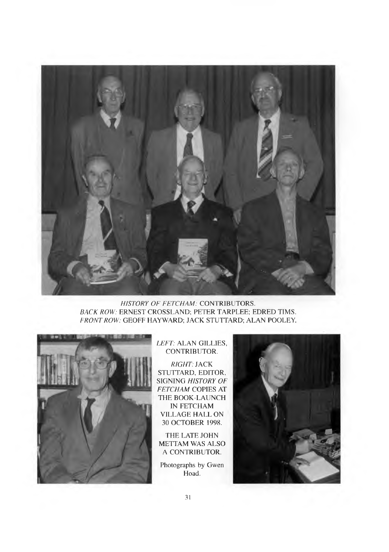

## **HISTORY OF FETCHAM: CONTRIBUTORS.** *BACK ROW:* ERNEST CROSSLAND; PETER TARPLEE; EDRED TIMS. *FRONT ROW:* GEOFF HAYWARD; JACK STUTTARD; ALAN POOLEY.



### *LEFT:* ALAN GILLIES, CONTRIBUTOR.

*RIGHT:* JACK STUTTARD, EDITOR, SIGNING *HISTORY OF* **FETCHAM COPIES AT** THE BOOK-LAUNCH IN FETCHAM VILLAGE HALL ON 30 OCTOBER 1998.

THE LATE JOHN METTAM WAS ALSO A CONTRIBUTOR.

Photographs by Gwen Hoad.

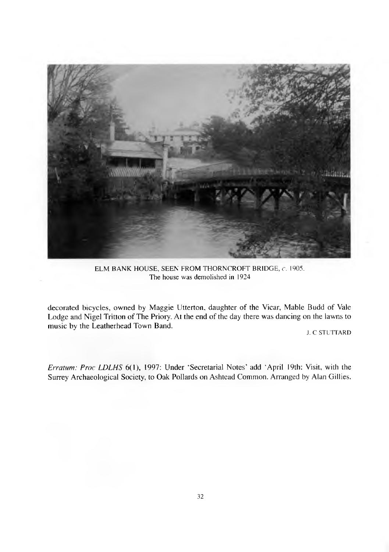

ELM BANK HOUSE, SEEN FROM THORNCROFT BRIDGE, *c.* 1905. The house was demolished in 1924

decorated bicycles, owned by Maggie Utterton, daughter of the Vicar, Mable Budd of Vale Lodge and Nigel Tritton of The Priory. At the end of the day there was dancing on the lawns to music by the Leatherhead Town Band.

J. C STUTTARD

*Erratum: Proc LDLHS* 6(1), 1997: Under 'Secretarial Notes' add 'April 19th: Visit, with the Surrey Archaeological Society, to Oak Pollards on Ashtead Common. Arranged by Alan Gillies.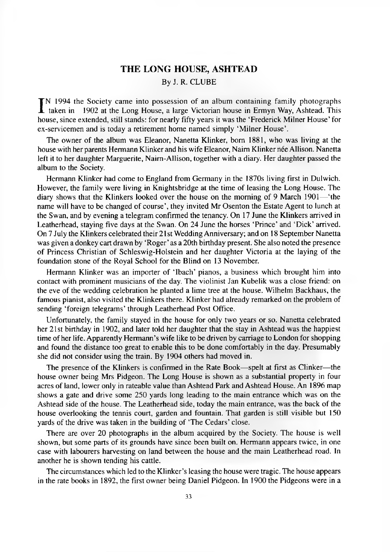#### **THE LONG HOUSE, ASHTEAD**

### By J. R. CLUBE

 $\prod_{i=1}^{n}$  1994 the Society came into possession of an album containing family photographs<br>taken in 1902 at the Long House, a large Victorian house in Ermyn Way, Ashtead. This<br>house since extended still stands: for pear taken in 1902 at the Long House, a large Victorian house in Ermyn Way, Ashtead. This house, since extended, still stands: for nearly fifty years it was the 'Frederick Milner House' for ex-servicemen and is today a retirement home named simply 'Milner House'.

The owner of the album was Eleanor, Nanetta Klinker, bom 1881, who was living at the house with her parents Hermann Klinker and his wife Eleanor, Naim Klinker nee Allison. Nanetta left it to her daughter Marguerite, Naim-Allison, together with a diary. Her daughter passed the album to the Society.

Hermann Klinker had come to England from Germany in the 1870s living first in Dulwich. However, the family were living in Knightsbridge at the time of leasing the Long House. The diary shows that the Klinkers looked over the house on the morning of 9 March 1901— 'the name will have to be changed of course', they invited Mr Osenton the Estate Agent to lunch at the Swan, and by evening a telegram confirmed the tenancy. On 17 June the Klinkers arrived in Leatherhead, staying five days at the Swan. On 24 June the horses 'Prince' and 'Dick' arrived. On 7 July the Klinkers celebrated their 21 st Wedding Anniversary; and on 18 September Nanetta was given a donkey cart drawn by 'Roger' as a 20th birthday present. She also noted the presence of Princess Christian of Schleswig-Holstein and her daughter Victoria at the laying of the foundation stone of the Royal School for the Blind on 13 November.

Hermann Klinker was an importer of 'Ibach' pianos, a business which brought him into contact with prominent musicians of the day. The violinist Jan Kubelik was a close friend: on the eve of the wedding celebration he planted a lime tree at the house. Wilhelm Backhaus, the famous pianist, also visited the Klinkers there. Klinker had already remarked on the problem of sending 'foreign telegrams' through Leatherhead Post Office.

Unfortunately, the family stayed in the house for only two years or so. Nanetta celebrated her 21st birthday in 1902, and later told her daughter that the stay in Ashtead was the happiest time of her life. Apparently Hermann's wife like to be driven by carriage to London for shopping and found the distance too great to enable this to be done comfortably in the day. Presumably she did not consider using the train. By 1904 others had moved in.

The presence of the Klinkers is confirmed in the Rate Book— spelt at first as Clinker—the house owner being Mrs Pidgeon. The Long House is shown as a substantial property in four acres of land, lower only in rateable value than Ashtead Park and Ashtead House. An 1896 map shows a gate and drive some 250 yards long leading to the main entrance which was on the Ashtead side of the house. The Leatherhead side, today the main entrance, was the back of the house overlooking the tennis court, garden and fountain. That garden is still visible but 150 yards of the drive was taken in the building of 'The Cedars' close.

There are over 20 photographs in the album acquired by the Society. The house is well shown, but some parts of its grounds have since been built on. Hermann appears twice, in one case with labourers harvesting on land between the house and the main Leatherhead road. In another he is shown tending his cattle.

The circumstances which led to the Klinker's leasing the house were tragic. The house appears in the rate books in 1892, the first owner being Daniel Pidgeon. In 1900 the Pidgeons were in a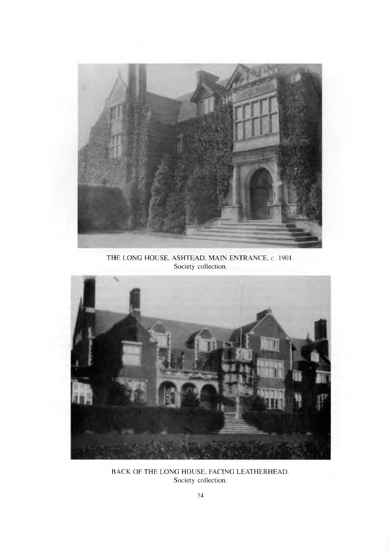

THE LONG HOUSE, ASHTEAD, MAIN ENTRANCE, c. 1901. Society collection.



BACK OF THE LONG HOUSE, FACING LEATHERHEAD. Society collection.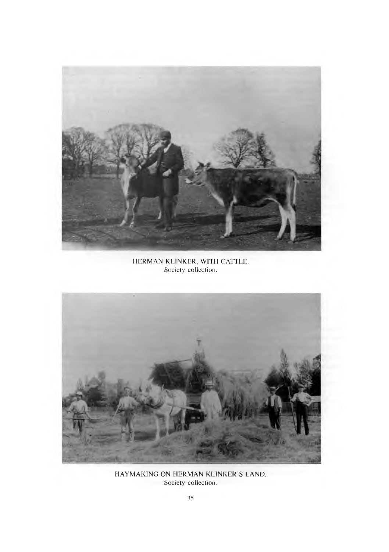

HERMAN KLINKER, WITH CATTLE. Society collection.



HAYMAKING ON HERMAN KLINKER'S LAND. Society collection.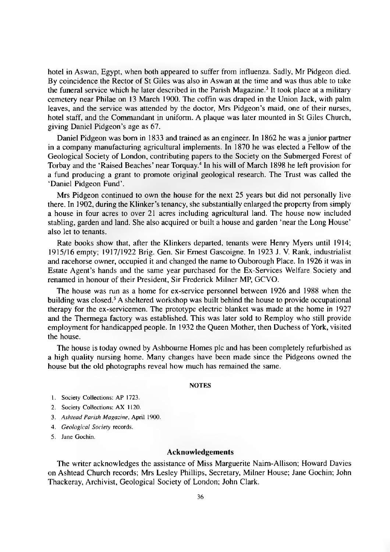hotel in Aswan, Egypt, when both appeared to suffer from influenza. Sadly, Mr Pidgeon died. By coincidence the Rector of St Giles was also in Aswan at the time and was thus able to take the funeral service which he later described in the Parish Magazine.<sup>3</sup> It took place at a military cemetery near Philae on 13 March 1900. The coffin was draped in the Union Jack, with palm leaves, and the service was attended by the doctor, Mrs Pidgeon's maid, one of their nurses, hotel staff, and the Commandant in uniform. A plaque was later mounted in St Giles Church, giving Daniel Pidgeon's age as 67.

Daniel Pidgeon was bom in 1833 and trained as an engineer. In 1862 he was a junior partner in a company manufacturing agricultural implements. In 1870 he was elected a Fellow of the Geological Society of London, contributing papers to the Society on the Submerged Forest of Torbay and the 'Raised Beaches' near Torquay.4 In his will of March 1898 he left provision for a fund producing a grant to promote original geological research. The Trust was called the 'Daniel Pidgeon Fund'.

Mrs Pidgeon continued to own the house for the next 25 years but did not personally live there. In 1902, during the Klinker's tenancy, she substantially enlarged the property from simply a house in four acres to over 21 acres including agricultural land. The house now included stabling, garden and land. She also acquired or built a house and garden 'near the Long House' also let to tenants.

Rate books show that, after the Klinkers departed, tenants were Henry Myers until 1914; 1915/16 empty; 1917/1922 Brig. Gen. Sir Ernest Gascoigne. In 1923 J. V. Rank, industrialist and racehorse owner, occupied it and changed the name to Ouborough Place. In 1926 it was in Estate Agent's hands and the same year purchased for the Ex-Services Welfare Society and renamed in honour of their President, Sir Frederick Milner MP, GCVO.

The house was ran as a home for ex-service personnel between 1926 and 1988 when the building was closed.5 A sheltered workshop was built behind the house to provide occupational therapy for the ex-servicemen. The prototype electric blanket was made at the home in 1927 and the Thermega factory was established. This was later sold to Remploy who still provide employment for handicapped people. In 1932 the Queen Mother, then Duchess of York, visited the house.

The house is today owned by Ashbourne Homes pic and has been completely refurbished as a high quality nursing home. Many changes have been made since the Pidgeons owned the house but the old photographs reveal how much has remained the same.

#### **NOTES**

- 1. Society Collections: AP 1723.
- 2. Society Collections: AX 1120.
- 3. *Ashtead Parish Magazine,* April 1900.
- 4. *Geological Society* records.
- 5. Jane Gochin.

#### **Acknowledgements**

The writer acknowledges the assistance of Miss Marguerite Naim-Allison; Howard Davies on Ashtead Church records; Mrs Lesley Phillips, Secretary, Milner House; Jane Gochin; John Thackeray, Archivist, Geological Society of London; John Clark.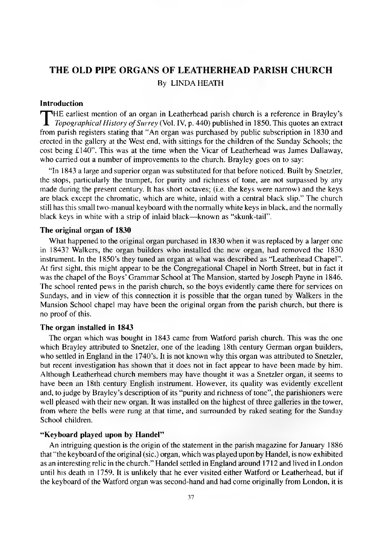## <span id="page-10-0"></span>**THE OLD PIPE ORGANS OF LEATHERHEAD PARISH CHURCH** By LINDA HEATH

#### **Introduction**

**T**HE earliest mention of an organ in Leatherhead parish church is a reference in Brayley's *Topographical History of Surrey* (Vol. IV, p. 440) published in 1850. This quotes an extract from parish registers stating that " HE earliest mention of an organ in Leatherhead parish church is a reference in Brayley's *Topographical History of Surrey* (Vol. IV, p. 440) published in 1850. This quotes an extract erected in the gallery at the West end, with sittings for the children of the Sunday Schools; the cost being £140". This was at the time when the Vicar of Leatherhead was James Dallaway, who carried out a number of improvements to the church. Brayley goes on to say:

"In 1843 a large and superior organ was substituted for that before noticed. Built by Snetzler, the stops, particularly the trumpet, for purity and richness of tone, are not surpassed by any made during the present century. It has short octaves; (i.e. the keys were narrow) and the keys are black except the chromatic, which are white, inlaid with a central black slip." The church still has this small two-manual keyboard with the normally white keys in black, and the normally black keys in white with a strip of inlaid black— known as "skunk-tail".

#### **The original organ of 1830**

What happened to the original organ purchased in 1830 when it was replaced by a larger one in 1843? Walkers, the organ builders who installed the new organ, had removed the 1830 instrument. In the 1850's they tuned an organ at what was described as "Leatherhead Chapel". At first sight, this might appear to be the Congregational Chapel in North Street, but in fact it was the chapel of the Boys' Grammar School at The Mansion, started by Joseph Payne in 1846. The school rented pews in the parish church, so the boys evidently came there for services on Sundays, and in view of this connection it is possible that the organ tuned by Walkers in the Mansion School chapel may have been the original organ from the parish church, but there is no proof of this.

#### **The organ installed in 1843**

The organ which was bought in 1843 came from Watford parish church. This was the one which Brayley attributed to Snetzler, one of the leading 18th century German organ builders, who settled in England in the 1740's. It is not known why this organ was attributed to Snetzler, but recent investigation has shown that it does not in fact appear to have been made by him. Although Leatherhead church members may have thought it was a Snetzler organ, it seems to have been an 18th century English instrument. However, its quality was evidently excellent and, to judge by Brayley's description of its "purity and richness of tone", the parishioners were well pleased with their new organ. It was installed on the highest of three galleries in the tower, from where the bells were rung at that time, and surrounded by raked seating for the Sunday School children.

#### **"Keyboard played upon by Handel"**

An intriguing question is the origin of the statement in the parish magazine for January 1886 that "the keyboard of the original (sic.) organ, which was played upon by Handel, is now exhibited as an interesting relic in the church." Handel settled in England around 1712 and lived in London until his death in 1759. It is unlikely that he ever visited either Watford or Leatherhead, but if the keyboard of the Watford organ was second-hand and had come originally from London, it is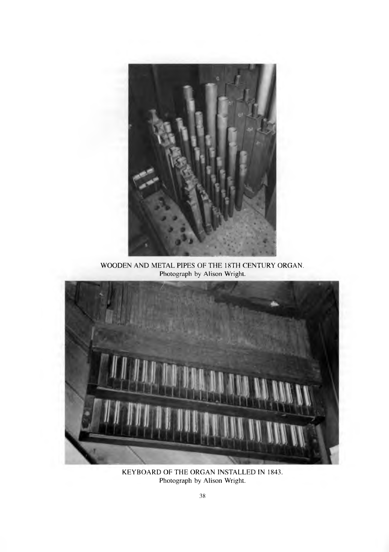

WOODEN AND METAL PIPES OF THE 18TH CENTURY ORGAN. Photograph by Alison Wright.



KEYBOARD OF THE ORGAN INSTALLED IN 1843. Photograph by Alison Wright.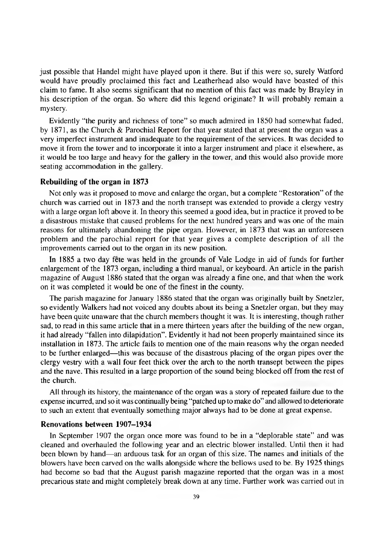just possible that Handel might have played upon it there. But if this were so, surely Watford would have proudly proclaimed this fact and Leatherhead also would have boasted of this claim to fame. It also seems significant that no mention of this fact was made by Brayley in his description of the organ. So where did this legend originate? It will probably remain a mystery.

Evidently "the purity and richness of tone" so much admired in 1850 had somewhat faded, by 1871, as the Church & Parochial Report for that year stated that at present the organ was a very imperfect instrument and inadequate to the requirement of the services. It was decided to move it from the tower and to incorporate it into a larger instrument and place it elsewhere, as it would be too large and heavy for the gallery in the tower, and this would also provide more seating accommodation in the gallery.

#### **Rebuilding of the organ in 1873**

Not only was it proposed to move and enlarge the organ, but a complete "Restoration" of the church was carried out in 1873 and the north transept was extended to provide a clergy vestry with a large organ loft above it. In theory this seemed a good idea, but in practice it proved to be a disastrous mistake that caused problems for the next hundred years and was one of the main reasons for ultimately abandoning the pipe organ. However, in 1873 that was an unforeseen problem and the parochial report for that year gives a complete description of all the improvements carried out to the organ in its new position.

In 1885 a two day fete was held in the grounds of Vale Lodge in aid of funds for further enlargement of the 1873 organ, including a third manual, or keyboard. An article in the parish magazine of August 1886 stated that the organ was already a fine one, and that when the work on it was completed it would be one of the finest in the county.

The parish magazine for January 1886 stated that the organ was originally built by Snetzler, so evidently Walkers had not voiced any doubts about its being a Snetzler organ, but they may have been quite unaware that the church members thought it was. It is interesting, though rather sad, to read in this same article that in a mere thirteen years after the building of the new organ, it had already "fallen into dilapidation". Evidently it had not been properly maintained since its installation in 1873. The article fails to mention one of the main reasons why the organ needed to be further enlarged—this was because of the disastrous placing of the organ pipes over the clergy vestry with a wall four feet thick over the arch to the north transept between the pipes and the nave. This resulted in a large proportion of the sound being blocked off from the rest of the church.

All through its history, the maintenance of the organ was a story of repeated failure due to the expense incurred, and so it was continually being "patched up to make do" and allowed to deteriorate to such an extent that eventually something major always had to be done at great expense.

#### **Renovations between 1907-1934**

In September 1907 the organ once more was found to be in a "deplorable state" and was cleaned and overhauled the following year and an electric blower installed. Until then it had been blown by hand—an arduous task for an organ of this size. The names and initials of the blowers have been carved on the walls alongside where the bellows used to be. By 1925 things had become so bad that the August parish magazine reported that the organ was in a most precarious state and might completely break down at any time. Further work was carried out in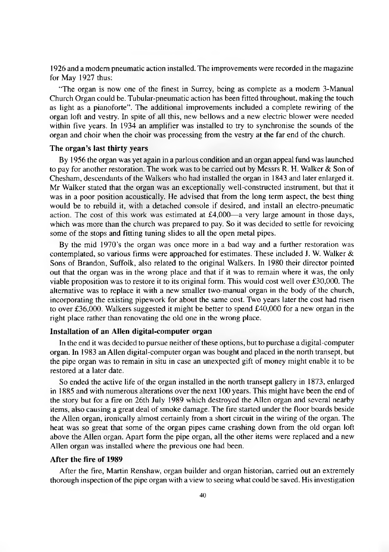1926 and a modem pneumatic action installed. The improvements were recorded in the magazine for May 1927 thus:

"The organ is now one of the finest in Surrey, being as complete as a modem 3-Manual Church Organ could be. Tubular-pneumatic action has been fitted throughout, making the touch as light as a pianoforte". The additional improvements included a complete rewiring of the organ loft and vestry. In spite of all this, new bellows and a new electric blower were needed within five years. In 1934 an amplifier was installed to try to synchronise the sounds of the organ and choir when the choir was processing from the vestry at the far end of the church.

#### **The organ's last thirty years**

By 1956 the organ was yet again in a parlous condition and an organ appeal fund was launched to pay for another restoration. The work was to be carried out by Messrs R. H. Walker  $\&$  Son of Chesham, descendants of the Walkers who had installed the organ in 1843 and later enlarged it. Mr Walker stated that the organ was an exceptionally well-constructed instrument, but that it was in a poor position acoustically. He advised that from the long term aspect, the best thing would be to rebuild it, with a detached console if desired, and install an electro-pneumatic action. The cost of this work was estimated at  $£4,000$ —a very large amount in those days, which was more than the church was prepared to pay. So it was decided to settle for revoicing some of the stops and fitting tuning slides to all the open metal pipes.

By the mid 1970's the organ was once more in a bad way and a further restoration was contemplated, so various firms were approached for estimates. These included J. W. Walker & Sons of Brandon, Suffolk, also related to the original Walkers. In 1980 their director pointed out that the organ was in the wrong place and that if it was to remain where it was, the only viable proposition was to restore it to its original form. This would cost well over £30,000. The alternative was to replace it with a new smaller two-manual organ in the body of the church, incorporating the existing pipework for about the same cost. Two years later the cost had risen to over £36,000. Walkers suggested it might be better to spend £40,000 for a new organ in the right place rather than renovating the old one in the wrong place.

#### **Installation of an Allen digital-computer organ**

In the end it was decided to pursue neither of these options, but to purchase a digital-computer organ. In 1983 an Allen digital-computer organ was bought and placed in the north transept, but the pipe organ was to remain in situ in case an unexpected gift of money might enable it to be restored at a later date.

So ended the active life of the organ installed in the north transept gallery in 1873, enlarged in 1885 and with numerous alterations over the next 100 years. This might have been the end of the story but for a fire on 26th July 1989 which destroyed the Allen organ and several nearby items, also causing a great deal of smoke damage. The fire started under the floor boards beside the Allen organ, ironically almost certainly from a short circuit in the wiring of the organ. The heat was so great that some of the organ pipes came crashing down from the old organ loft above the Allen organ. Apart form the pipe organ, all the other items were replaced and a new Allen organ was installed where the previous one had been.

#### **After the fire of 1989**

After the fire, Martin Renshaw, organ builder and organ historian, carried out an extremely thorough inspection of the pipe organ with a view to seeing what could be saved. His investigation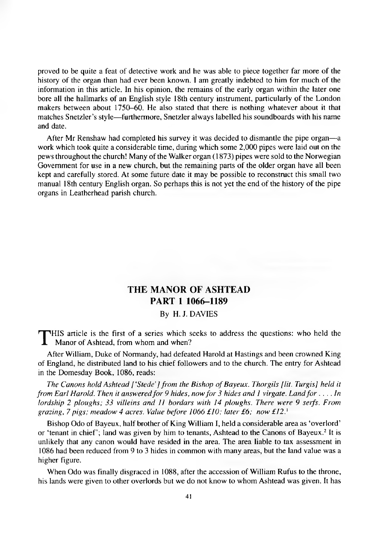proved to be quite a feat of detective work and he was able to piece together far more of the history of the organ than had ever been known. I am greatly indebted to him for much of the information in this article. In his opinion, the remains of the early organ within the later one bore all the hallmarks of an English style 18th century instrument, particularly of the London makers between about 1750-60. He also stated that there is nothing whatever about it that matches Snetzler's style— furthermore, Snetzler always labelled his soundboards with his name and date.

After Mr Renshaw had completed his survey it was decided to dismantle the pipe organ— a work which took quite a considerable time, during which some 2,000 pipes were laid out on the pews throughout the church! Many of the Walker organ (1873) pipes were sold to the Norwegian Government for use in a new church, but the remaining parts of the older organ have all been kept and carefully stored. At some future date it may be possible to reconstruct this small two manual 18th century English organ. So perhaps this is not yet the end of the history of the pipe organs in Leatherhead parish church.

## **THE MANOR OF ASHTEAD PART 1 1066-1189**

### By H. J. DAVIES

**T**HIS article is the first of a series which seeks to address the questions: who held the Manor of Ashtead, from whom and when? Manor of Ashtead, from whom and when?

After William, Duke of Normandy, had defeated Harold at Hastings and been crowned King of England, he distributed land to his chief followers and to the church. The entry for Ashtead in the Domesday Book, 1086, reads:

*The Canons hold Ashtead [ 'Stede'] from the Bishop ofBayeux. Thorgils [lit. Turgis] held it from Earl Harold. Then it answered for 9 hides, now for 3 hides and 1 virgate. Land for*.... *In lordship 2 ploughs; 33 villeins and 11 bordars with 14 ploughs. There were 9 serfs. From grazing, 7 pigs; meadow 4 acres. Value before 1066 £10; later £6; now £12.'*

Bishop Odo of Bayeux, half brother of King William I, held a considerable area as 'overlord' or 'tenant in chief'; land was given by him to tenants, Ashtead to the Canons of Bayeux.<sup>2</sup> It is unlikely that any canon would have resided in the area. The area liable to tax assessment in 1086 had been reduced from 9 to 3 hides in common with many areas, but the land value was a higher figure.

When Odo was finally disgraced in 1088, after the accession of William Rufus to the throne, his lands were given to other overlords but we do not know to whom Ashtead was given. It has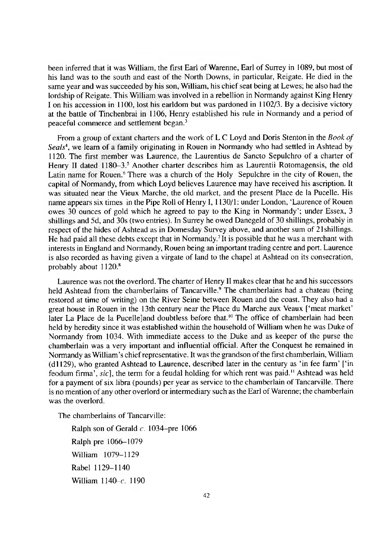been inferred that it was William, the first Earl of Warenne, Earl of Surrey in 1089, but most of his land was to the south and east of the North Downs, in particular, Reigate. He died in the same year and was succeeded by his son, William, his chief seat being at Lewes; he also had the lordship of Reigate. This William was involved in a rebellion in Normandy against King Henry I on his accession in 1100, lost his earldom but was pardoned in 1102/3. By a decisive victory at the battle of Tinchenbrai in 1106, Henry established his rule in Normandy and a period of peaceful commerce and settlement began.3

From a group of extant charters and the work of L C Loyd and Doris Stenton in the *Book of Seals4,* we learn of a family originating in Rouen in Normandy who had settled in Ashtead by 1120. The first member was Laurence, the Laurentius de Sancto Sepulchro of a charter of Henry II dated  $1180-3.5$  Another charter describes him as Laurentii Rotomagensis, the old Latin name for Rouen.<sup>6</sup> There was a church of the Holy Sepulchre in the city of Rouen, the capital of Normandy, from which Loyd believes Laurence may have received his ascription. It was situated near the Vieux Marche, the old market, and the present Place de la Pucelle. His name appears six times in the Pipe Roll of Henry 1 ,1130/1: under London, 'Laurence of Rouen owes 30 ounces of gold which he agreed to pay to the King in Normandy'; under Essex, 3 shillings and 5d, and 30s (two entries). In Surrey he owed Danegeld of 30 shillings, probably in respect of the hides of Ashtead as in Domesday Survey above, and another sum of 21 shillings. He had paid all these debts except that in Normandy.7 It is possible that he was a merchant with interests in England and Normandy, Rouen being an important trading centre and port. Laurence is also recorded as having given a virgate of land to the chapel at Ashtead on its consecration, probably about 1120.8

Laurence was not the overlord. The charter of Henry II makes clear that he and his successors held Ashtead from the chamberlains of Tancarville.<sup>9</sup> The chamberlains had a chateau (being restored at time of writing) on the River Seine between Rouen and the coast. They also had a great house in Rouen in the 13th century near the Place du Marche aux Veaux ['meat market' later La Place de la Pucelle]and doubtless before that.<sup>10</sup> The office of chamberlain had been held by heredity since it was established within the household of William when he was Duke of Normandy from 1034. With immediate access to the Duke and as keeper of the purse the chamberlain was a very important and influential official. After the Conquest he remained in Normandy as William's chief representative. It was the grandson of the first chamberlain, William (dl 129), who granted Ashtead to Laurence, described later in the century as 'in fee farm' ['in feodum firma', sic], the term for a feudal holding for which rent was paid.<sup>11</sup> Ashtead was held for a payment of six libra (pounds) per year as service to the chamberlain of Tancarville. There is no mention of any other overlord or intermediary such as the Earl of Warenne; the chamberlain was the overlord.

The chamberlains of Tancarville:

Ralph son of Gerald *c.* 1034—pre 1066 Ralph pre 1066-1079 William 1079-1129 Rabel 1129-1140 William 1140-c. 1190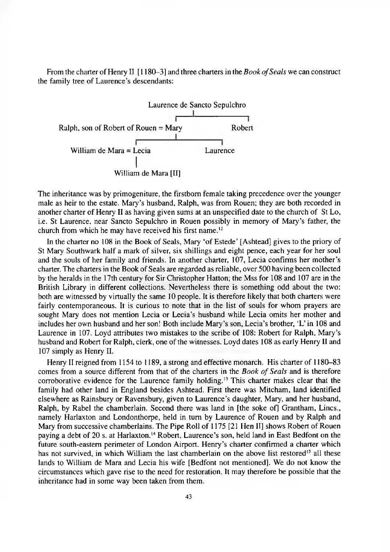From the charter of Henry II [1180-3] and three charters in the *Book of Seals* we can construct the family tree of Laurence's descendants:



The inheritance was by primogeniture, the firstborn female taking precedence over the younger male as heir to the estate. Mary's husband, Ralph, was from Rouen; they are both recorded in another charter of Henry II as having given sums at an unspecified date to the church of St Lo, i.e. St Laurence, near Sancto Sepulchro in Rouen possibly in memory of Mary's father, the church from which he may have received his first name.<sup>12</sup>

In the charter no 108 in the Book of Seals, Mary 'of Estede' [Ashtead] gives to the priory of St Mary Southwark half a mark of silver, six shillings and eight pence, each year for her soul and the souls of her family and friends. In another charter, 107, Lecia confirms her mother's charter. The charters in the Book of Seals are regarded as reliable, over 500 having been collected by the heralds in the 17th century for Sir Christopher Hatton; the Mss for 108 and 107 are in the British Library in different collections. Nevertheless there is something odd about the two: both are witnessed by virtually the same 10 people. It is therefore likely that both charters were fairly contemporaneous. It is curious to note that in the list of souls for whom prayers are sought Mary does not mention Lecia or Lecia's husband while Lecia omits her mother and includes her own husband and her son! Both include Mary's son, Lecia's brother, 'L' in 108 and Laurence in 107. Loyd attributes two mistakes to the scribe of 108: Robert for Ralph, Mary's husband and Robert for Ralph, clerk, one of the witnesses. Loyd dates 108 as early Henry II and 107 simply as Henry II.

Henry II reigned from 1154 to 1189, a strong and effective monarch. His charter of 1180-83 comes from a source different from that of the charters in the *Book of Seals* and is therefore corroborative evidence for the Laurence family holding.13 This charter makes clear that the family had other land in England besides Ashtead. First there was Mitcham, land identified elsewhere as Rainsbury or Ravensbury, given to Laurence's daughter, Mary, and her husband, Ralph, by Rabel the chamberlain. Second there was land in [the soke of] Grantham, Lincs., namely Harlaxton and Londonthorpe, held in turn by Laurence of Rouen and by Ralph and Mary from successive chamberlains. The Pipe Roll of 1175 [21 Hen II] shows Robert of Rouen paying a debt of 20 s. at Harlaxton.14 Robert, Laurence's son, held land in East Bedfont on the future south-eastern perimeter of London Airport. Henry's charter confirmed a charter which has not survived, in which William the last chamberlain on the above list restored<sup>15</sup> all these lands to William de Mara and Lecia his wife [Bedfont not mentioned]. We do not know the circumstances which gave rise to the need for restoration. It may therefore be possible that the inheritance had in some way been taken from them.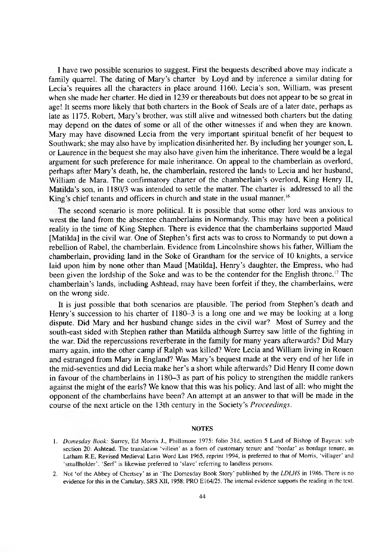I have two possible scenarios to suggest. First the bequests described above may indicate a family quarrel. The dating of Mary's charter by Loyd and by inference a similar dating for Lecia's requires all the characters in place around 1160. Lecia's son, William, was present when she made her charter. He died in 1239 or thereabouts but does not appear to be so great in age! It seems more likely that both charters in the Book of Seals are of a later date, perhaps as late as 1175. Robert, Mary's brother, was still alive and witnessed both charters but the dating may depend on the dates of some or all of the other witnesses if and when they are known. Mary may have disowned Lecia from the very important spiritual benefit of her bequest to Southwark; she may also have by implication disinherited her. By including her younger son, L or Laurence in the bequest she may also have given him the inheritance. There would be a legal argument for such preference for male inheritance. On appeal to the chamberlain as overlord, perhaps after Mary's death, he, the chamberlain, restored the lands to Lecia and her husband, William de Mara. The confirmatory charter of the chamberlain's overlord, King Henry II, Matilda's son, in 1180/3 was intended to settle the matter. The charter is addressed to all the King's chief tenants and officers in church and state in the usual manner.<sup>16</sup>

The second scenario is more political. It is possible that some other lord was anxious to wrest the land from the absentee chamberlains in Normandy. This may have been a political reality in the time of King Stephen. There is evidence that the chamberlains supported Maud [Matilda] in the civil war. One of Stephen's first acts was to cross to Normandy to put down a rebellion of Rabel, the chamberlain. Evidence from Lincolnshire shows his father, William the chamberlain, providing land in the Soke of Grantham for the service of 10 knights, a service laid upon him by none other than Maud [Matilda], Henry's daughter, the Empress, who had been given the lordship of the Soke and was to be the contender for the English throne.<sup>17</sup> The chamberlain's lands, including Ashtead, may have been forfeit if they, the chamberlains, were on the wrong side.

It is just possible that both scenarios are plausible. The period from Stephen's death and Henry's succession to his charter of 1180-3 is a long one and we may be looking at a long dispute. Did Mary and her husband change sides in the civil war? Most of Surrey and the south-east sided with Stephen rather than Matilda although Surrey saw little of the fighting in the war. Did the repercussions reverberate in the family for many years afterwards? Did Mary marry again, into the other camp if Ralph was killed? Were Lecia and William living in Rouen and estranged from Mary in England? Was Mary's bequest made at the very end of her life in the mid-seventies and did Lecia make her's a short while afterwards? Did Henry II come down in favour of the chamberlains in 1180-3 as part of his policy to strengthen the middle rankers against the might of the earls? We know that this was his policy. And last of all: who might the opponent of the chamberlains have been? An attempt at an answer to that will be made in the course of the next article on the 13th century in the Society's *Proceedings.*

#### **NOTES**

- 1. *Domesday Book:* Surrey. Ed Morris J., Phillimore 1975: folio 3 Id, section 5 Land of Bishop of Bayeux: sub section 20: Ashtead. The translation 'villein' as a form of customary tenure and 'bordar' as bordage tenure, as Latham R.E, Revised Medieval Latin Word List 1965, reprint 1994, is preferred to that of Morris, 'villager' and 'smallholder'. 'Serf' is likewise preferred to 'slave' referring to landless persons.
- 2. Not 'of the Abbey of Chertsey' as in 'The Domesday Book Story' published by the *LDLHS* in 1986. There is no evidence for this in the Cartulary, SRS XII, 1958; PRO E164/25. The internal evidence supports the reading in the text.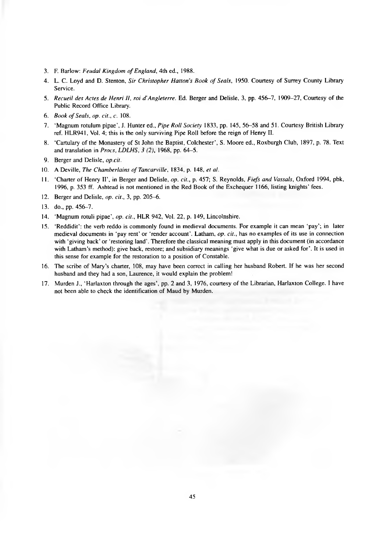- 3. F. Barlow: *Feudal Kingdom of England*, 4th ed., 1988.
- 4. L. C. Loyd and D. Stenton, *Sir Christopher Hatton's Book of Seals*, 1950. Courtesy of Surrey County Library Service.
- 5. *Recueil des Actes de Henri II, roi d'Angleterre.* Ed. Berger and Delisle, 3, pp. 456-7, 1909-27, Courtesy of the Public Record Office Library.
- 6. *Book of Seals, op. cit., c.* 108.
- 7. 'Magnum rotulum pipae', J. Hunter ed., *Pipe Roll Society* 1833, pp. 145, 56-58 and 51. Courtesy British Library ref. HLR941, Vol. 4; this is the only surviving Pipe Roll before the reign of Henry II.
- 8. 'Cartulary of the Monastery of St John the Baptist, Colchester', S. Moore ed., Roxburgh Club, 1897, p. 78. Text and translation in *Procs, LDLHS, 3 (2),* 1968, pp. 64-5.
- 9. Berger and Delisle, *op.cit.*
- 10. A Deville, *The Chamberlains of Tancarville*, 1834, p. 148, *et al.*
- 11. 'Charter of Henry II', in Berger and Delisle, *op. cit.,* p. 457; S. Reynolds, *Fiefs and Vassals*, Oxford 1994, pbk, 1996, p. 353 ff. Ashtead is not mentioned in the Red Book of the Exchequer 1166, listing knights' fees.
- 12. Berger and Delisle, *op. cit.,* 3, pp. 205-6.
- 13. do., pp. 456-7.
- 14. 'Magnum rotuli pipae', *op. cit.,* HLR 942, Vol. 22, p. 149, Lincolnshire.
- 15. 'Reddidit': the verb reddo is commonly found in medieval documents. For example it can mean 'pay'; in later medieval documents in 'pay rent' or 'render account'. Latham, *op. cit.,* has no examples of its use in connection with 'giving back' or 'restoring land'. Therefore the classical meaning must apply in this document (in accordance with Latham's method): give back, restore; and subsidiary meanings 'give what is due or asked for'. It is used in this sense for example for the restoration to a position of Constable.
- 16. The scribe of Mary's charter, 108, may have been correct in calling her husband Robert. If he was her second husband and they had a son, Laurence, it would explain the problem!
- 17. Murden J., 'Harlaxton through the ages', pp. 2 and 3, 1976, courtesy of the Librarian, Harlaxton College. I have not been able to check the identification of Maud by Murden.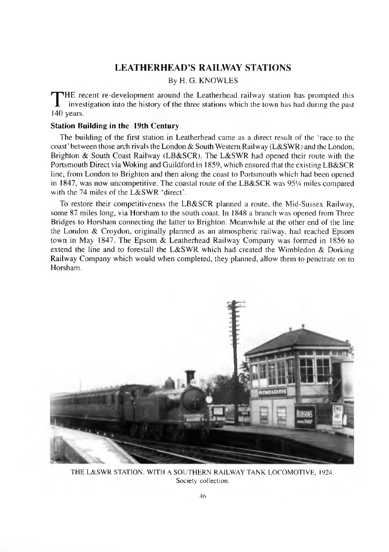### **LEATHERHEAD'S RAILWAY STATIONS**

### By H. G. KNOWLES

THE re<br>140 years. HE recent re-development around the Leatherhead railway station has prompted this investigation into the history of the three stations which the town has had during the past

#### **Station Building in the 19th Century**

The building of the first station in Leatherhead came as a direct result of the 'race to the coast' between those arch rivals the London & South Western Railway (L&SWR) and the London, Brighton & South Coast Railway (LB&SCR). The L&SWR had opened their route with the Portsmouth Direct via Woking and Guildford in 1859, which ensured that the existing LB&SCR line, from London to Brighton and then along the coast to Portsmouth which had been opened in 1847, was now uncompetitive. The coastal route of the LB&SCR was *95'A* miles compared with the 74 miles of the L&SWR 'direct'.

To restore their competitiveness the LB&SCR planned a route, the Mid-Sussex Railway, some 87 miles long, via Horsham to the south coast. In 1848 a branch was opened from Three Bridges to Horsham connecting the latter to Brighton. Meanwhile at the other end of the line the London & Croydon, originally planned as an atmospheric railway, had reached Epsom town in May 1847. The Epsom & Leatherhead Railway Company was formed in 1856 to extend the line and to forestall the L&SWR which had created the Wimbledon & Dorking Railway Company which would when completed, they planned, allow them to penetrate on to Horsham.



THE L&SWR STATION. WITH A SOUTHERN RAILWAY TANK LOCOMOTIVE, 1924. Society collection.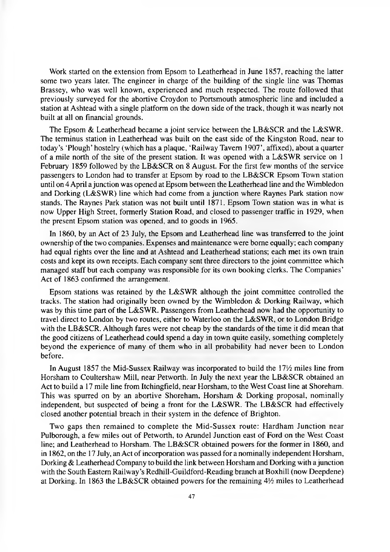Work started on the extension from Epsom to Leatherhead in June 1857, reaching the latter some two years later. The engineer in charge of the building of the single line was Thomas Brassey, who was well known, experienced and much respected. The route followed that previously surveyed for the abortive Croydon to Portsmouth atmospheric line and included a station at Ashtead with a single platform on the down side of the track, though it was nearly not built at all on financial grounds.

The Epsom & Leatherhead became a joint service between the LB&SCR and the L&SWR. The terminus station in Leatherhead was built on the east side of the Kingston Road, near to today's 'Plough' hostelry (which has a plaque, 'Railway Tavern 1907', affixed), about a quarter of a mile north of the site of the present station. It was opened with a L&SWR service on 1 February 1859 followed by the LB&SCR on 8 August. For the first few months of the service passengers to London had to transfer at Epsom by road to the LB&SCR Epsom Town station until on 4 April a junction was opened at Epsom between the Leatherhead line and the Wimbledon and Dorking (L&SWR) line which had come from a junction where Raynes Park station now stands. The Raynes Park station was not built until 1871. Epsom Town station was in what is now Upper High Street, formerly Station Road, and closed to passenger traffic in 1929, when the present Epsom station was opened, and to goods in 1965.

In 1860, by an Act of 23 July, the Epsom and Leatherhead line was transferred to the joint ownership of the two companies. Expenses and maintenance were borne equally; each company had equal rights over the line and at Ashtead and Leatherhead stations; each met its own train costs and kept its own receipts. Each company sent three directors to the joint committee which managed staff but each company was responsible for its own booking clerks. The Companies' Act of 1863 confirmed the arrangement.

Epsom stations was retained by the L&SWR although the joint committee controlled the tracks. The station had originally been owned by the Wimbledon & Dorking Railway, which was by this time part of the L&SWR. Passengers from Leatherhead now had the opportunity to travel direct to London by two routes, either to Waterloo on the L&SWR, or to London Bridge with the LB&SCR. Although fares were not cheap by the standards of the time it did mean that the good citizens of Leatherhead could spend a day in town quite easily, something completely beyond the experience of many of them who in all probability had never been to London before.

In August 1857 the Mid-Sussex Railway was incorporated to build the 17<sup>1</sup>/<sub>2</sub> miles line from Horsham to Coultershaw Mill, near Petworth. In July the next year the LB&SCR obtained an Act to build a 17 mile line from Itchingfield, near Horsham, to the West Coast line at Shoreham. This was spurred on by an abortive Shoreham, Horsham & Dorking proposal, nominally independent, but suspected of being a front for the L&SWR. The LB&SCR had effectively closed another potential breach in their system in the defence of Brighton.

Two gaps then remained to complete the Mid-Sussex route: Hardham Junction near Pulborough, a few miles out of Petworth, to Arundel Junction east of Ford on the West Coast line; and Leatherhead to Horsham. The LB&SCR obtained powers for the former in 1860, and in 1862, on the 17 July, an Act of incorporation was passed for a nominally independent Horsham, Dorking & Leatherhead Company to build the link between Horsham and Dorking with a junction with the South Eastern Railway's Redhill-Guildford-Reading branch at Boxhill (now Deepdene) at Dorking. In 1863 the LB&SCR obtained powers for the remaining  $4\frac{1}{2}$  miles to Leatherhead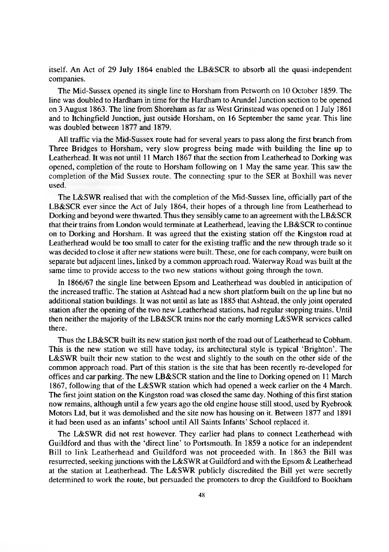itself. An Act of 29 July 1864 enabled the LB&SCR to absorb all the quasi-independent companies.

The Mid-Sussex opened its single line to Horsham from Petworth on 10 October 1859. The line was doubled to Hardham in time for the Hardham to Arundel Junction section to be opened on 3 August 1863. The line from Shoreham as far as West Grinstead was opened on 1 July 1861 and to Itchingfield Junction, just outside Horsham, on 16 September the same year. This line was doubled between 1877 and 1879.

All traffic via the Mid-Sussex route had for several years to pass along the first branch from Three Bridges to Horsham, very slow progress being made with building the line up to Leatherhead. It was not until 11 March 1867 that the section from Leatherhead to Dorking was opened, completion of the route to Horsham following on 1 May the same year. This saw the completion of the Mid Sussex route. The connecting spur to the SER at Boxhill was never used.

The L&SWR realised that with the completion of the Mid-Sussex line, officially part of the LB&SCR ever since the Act of July 1864, their hopes of a through line from Leatherhead to Dorking and beyond were thwarted. Thus they sensibly came to an agreement with the LB&SCR that their trains from London would terminate at Leatherhead, leaving the LB&SCR to continue on to Dorking and Horsham. It was agreed that the existing station off the Kingston road at Leatherhead would be too small to cater for the existing traffic and the new through trade so it was decided to close it after new stations were built. These, one for each company, were built on separate but adjacent lines, linked by a common approach road. Waterway Road was built at the same time to provide access to the two new stations without going through the town.

In 1866/67 the single line between Epsom and Leatherhead was doubled in anticipation of the increased traffic. The station at Ashtead had a new short platform built on the up line but no additional station buildings. It was not until as late as 1885 that Ashtead, the only joint operated station after the opening of the two new Leatherhead stations, had regular stopping trains. Until then neither the majority of the LB&SCR trains nor the early morning L&SWR services called there.

Thus the LB&SCR built its new station just north of the road out of Leatherhead to Cobham. This is the new station we still have today, its architectural style is typical 'Brighton'. The L&SWR built their new station to the west and slightly to the south on the other side of the common approach road. Part of this station is the site that has been recently re-developed for offices and car parking. The new LB&SCR station and the line to Dorking opened on 11 March 1867, following that of the L&SWR station which had opened a week earlier on the 4 March. The first joint station on the Kingston road was closed the same day. Nothing of this first station now remains, although until a few years ago the old engine house still stood, used by Ryebrook Motors Ltd, but it was demolished and the site now has housing on it. Between 1877 and 1891 it had been used as an infants' school until All Saints Infants' School replaced it.

The L&SWR did not rest however. They earlier had plans to connect Leatherhead with Guildford and thus with the 'direct line' to Portsmouth. In 1859 a notice for an independent Bill to link Leatherhead and Guildford was not proceeded with. In 1863 the Bill was resurrected, seeking junctions with the L&SWR at Guildford and with the Epsom & Leatherhead at the station at Leatherhead. The L&SWR publicly discredited the Bill yet were secretly determined to work the route, but persuaded the promoters to drop the Guildford to Bookham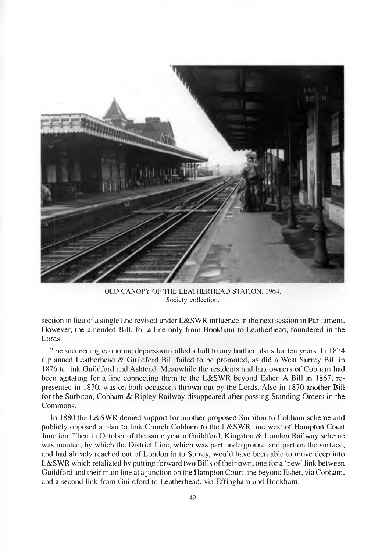

OLD CANOPY OF THE LEATHERHEAD STATION, 1964. Society collection.

section in lieu of a single line revised under L&SWR influence in the next session in Parliament. However, the amended Bill, for a line only from Bookham to Leatherhead, foundered in the Lords.

The succeeding economic depression called a halt to any further plans for ten years. In 1874 a planned Leatherhead & Guildford Bill failed to be promoted, as did a West Surrey Bill in 1876 to link Guildford and Ashtead. Meanwhile the residents and landowners of Cobham had been agitating for a line connecting them to the L&SWR beyond Esher. A Bill in 1867, represented in 1870, was on both occasions thrown out by the Lords. Also in 1870 another Bill for the Surbiton, Cobham & Ripley Railway disappeared after passing Standing Orders in the Commons.

In 1880 the L&SWR denied support for another proposed Surbiton to Cobham scheme and publicly opposed a plan to link Church Cobham to the L&SWR line west of Hampton Court Junction. Then in October of the same year a Guildford, Kingston & London Railway scheme was mooted, by which the District Line, which was part underground and part on the surface, and had already reached out of London in to Surrey, would have been able to move deep into L&SWR which retaliated by putting forward two Bills of their own, one for a 'new ' link between Guildford and their main line at a junction on the Hampton Court line beyond Esher, via Cobham, and a second link from Guildford to Leatherhead, via Effingham and Bookham.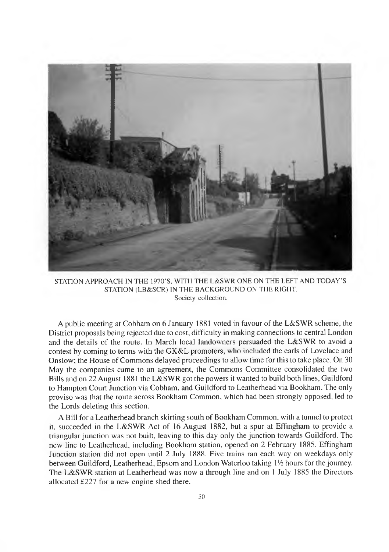

STATION APPROACH IN THE 1970'S, WITH THE L&SWR ONE ON THE LEFT AND TODAY'S STATION (LB&SCR) IN THE BACKGROUND ON THE RIGHT. Society collection.

A public meeting at Cobham on 6 January 1881 voted in favour of the L&SWR scheme, the District proposals being rejected due to cost, difficulty in making connections to central London and the details of the route. In March local landowners persuaded the L&SWR to avoid a contest by coming to terms with the GK&L promoters, who included the earls of Lovelace and Onslow; the House of Commons delayed proceedings to allow time for this to take place. On 30 May the companies came to an agreement, the Commons Committee consolidated the two Bills and on 22 August 1881 the L&SWR got the powers it wanted to build both lines, Guildford to Hampton Court Junction via Cobham, and Guildford to Leatherhead via Bookham. The only proviso was that the route across Bookham Common, which had been strongly opposed, led to the Lords deleting this section.

A Bill for a Leatherhead branch skirting south of Bookham Common, with a tunnel to protect it, succeeded in the L&SWR Act of 16 August 1882, but a spur at Effingham to provide a triangular junction was not built, leaving to this day only the junction towards Guildford. The new line to Leatherhead, including Bookham station, opened on 2 February 1885. Effingham Junction station did not open until 2 July 1888. Five trains ran each way on weekdays only between Guildford, Leatherhead, Epsom and London Waterloo taking *W i* hours for the journey. The L&SWR station at Leatherhead was now a through line and on 1 July 1885 the Directors allocated £227 for a new engine shed there.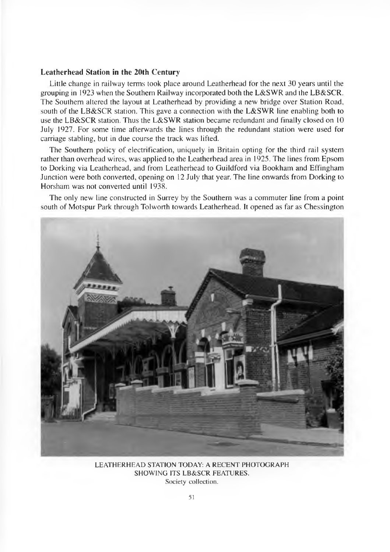#### **Leatherhead Station in the 20th Century**

Little change in railway terms took place around Leatherhead for the next 30 years until the grouping in 1923 when the Southern Railway incorporated both the L&SWR and the LB&SCR. The Southern altered the layout at Leatherhead by providing a new bridge over Station Road, south of the LB&SCR station. This gave a connection with the L&SWR line enabling both to use the LB&SCR station. Thus the L&SWR station became redundant and finally closed on 10 July 1927. For some time afterwards the lines through the redundant station were used for carriage stabling, but in due course the track was lifted.

The Southern policy of electrification, uniquely in Britain opting for the third rail system rather than overhead wires, was applied to the Leatherhead area in 1925. The lines from Epsom to Dorking via Leatherhead, and from Leatherhead to Guildford via Bookham and Effingham Junction were both converted, opening on 12 July that year. The line onwards from Dorking to Horsham was not converted until 1938.

The only new line constructed in Surrey by the Southern was a commuter line from a point south of Motspur Park through Tolworth towards Leatherhead. It opened as far as Chessington



LEATHERHEAD STATION TODAY: A RECENT PHOTOGRAPH SHOWING ITS LB&SCR FEATURES. Society collection.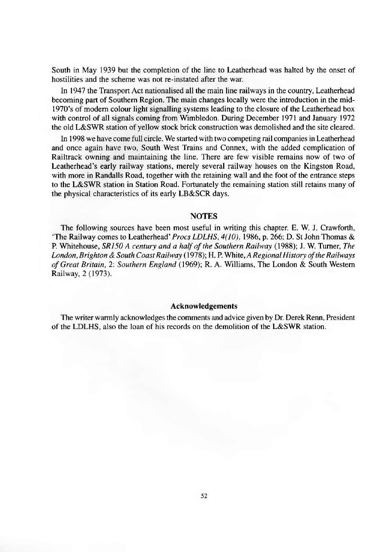South in May 1939 but the completion of the line to Leatherhead was halted by the onset of hostilities and the scheme was not re-instated after the war.

In 1947 the Transport Act nationalised all the main line railways in the country, Leatherhead becoming part of Southern Region. The main changes locally were the introduction in the mid-1970's of modem colour light signalling systems leading to the closure of the Leatherhead box with control of all signals coming from Wimbledon. During December 1971 and January 1972 the old L&SWR station of yellow stock brick construction was demolished and the site cleared.

In 1998 we have come full circle. We started with two competing rail companies in Leatherhead and once again have two, South West Trains and Connex, with the added complication of Railtrack owning and maintaining the line. There are few visible remains now of two of Leatherhead's early railway stations, merely several railway houses on the Kingston Road, with more in Randalls Road, together with the retaining wall and the foot of the entrance steps to the L&SWR station in Station Road. Fortunately the remaining station still retains many of the physical characteristics of its early LB&SCR days.

#### **NOTES**

The following sources have been most useful in writing this chapter. E. W. J. Crawforth, 'The Railway comes to Leatherhead' *Procs LDLHS, 4(10),* 1986, p. 266; D. St John Thomas & P. Whitehouse, *SR150 A century and a half of the Southern Railway* (1988); J. W. Turner, *The* London, Brighton & South Coast Railway (1978); H. P. White, *A Regional History of the Railways o f Great Britain, 2: Southern England* (1969); R. A. Williams, The London & South Western Railway, 2 (1973).

#### **Acknowledgements**

The writer warmly acknowledges the comments and advice given by Dr. Derek Renn, President of the LDLHS, also the loan of his records on the demolition of the L&SWR station.